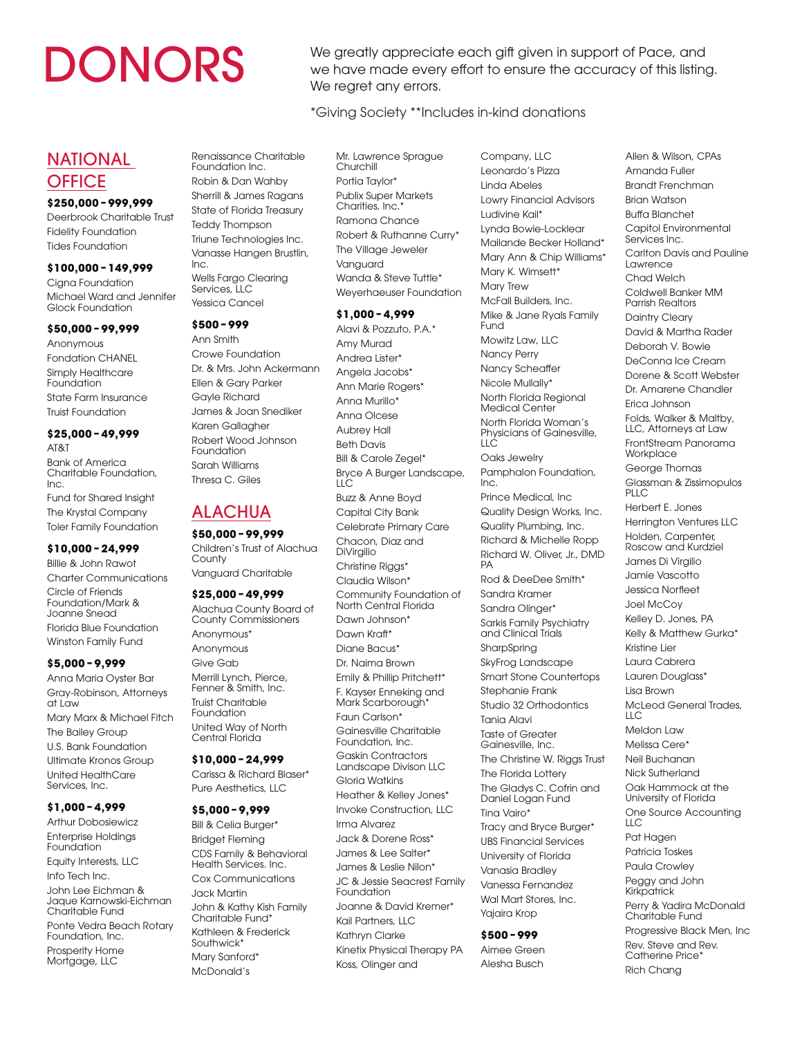DONORS We greatly appreciate each gift given in support of Pace, and<br>we have made every effort to ensure the accuracy of this listing we have made every effort to ensure the accuracy of this listing. We regret any errors.

\*Giving Society \*\*Includes in-kind donations

# NATIONAL **OFFICE**

# **\$250,000 – 999,999**

Deerbrook Charitable Trust Fidelity Foundation Tides Foundation

# **\$100,000 – 149,999**

Cigna Foundation Michael Ward and Jennifer Glock Foundation

### **\$50,000 – 99,999**

Anonymous Fondation CHANEL Simply Healthcare Foundation State Farm Insurance Truist Foundation

#### **\$25,000 – 49,999**  AT&T

Bank of America Charitable Foundation, Inc. Fund for Shared Insight The Krystal Company Toler Family Foundation

# **\$10,000 – 24,999**

Billie & John Rawot Charter Communications Circle of Friends Foundation/Mark & Joanne Snead Florida Blue Foundation Winston Family Fund

# **\$5,000 – 9,999**

Anna Maria Oyster Bar Gray-Robinson, Attorneys at Law Mary Marx & Michael Fitch The Bailey Group U.S. Bank Foundation Ultimate Kronos Group United HealthCare Services, Inc.

# **\$1,000 – 4,999**

Arthur Dobosiewicz Enterprise Holdings Foundation Equity Interests, LLC Info Tech Inc. John Lee Eichman & Jaque Karnowski-Eichman Charitable Fund Ponte Vedra Beach Rotary Foundation, Inc. Prosperity Home Mortgage, LLC

Renaissance Charitable Foundation Inc. Robin & Dan Wahby Sherrill & James Ragans State of Florida Treasury Teddy Thompson Triune Technologies Inc. Vanasse Hangen Brustlin, Inc. Wells Fargo Clearing Services, LLC Yessica Cancel

### **\$500 – 999**

Ann Smith Crowe Foundation Dr. & Mrs. John Ackermann Ellen & Gary Parker Gayle Richard James & Joan Snediker Karen Gallagher Robert Wood Johnson Foundation Sarah Williams Thresa C. Giles

# ALACHUA

# **\$50,000 – 99,999**

Children's Trust of Alachua **County** Vanguard Charitable

# **\$25,000 – 49,999**

Alachua County Board of County Commissioners Anonymous\* Anonymous Give Gab Merrill Lynch, Pierce, Fenner & Smith, Inc. Truist Charitable Foundation United Way of North Central Florida

#### **\$10,000 – 24,999**  Carissa & Richard Blaser\*

Pure Aesthetics, LLC

# **\$5,000 – 9,999**

Bill & Celia Burger\* Bridget Fleming CDS Family & Behavioral Health Services. Inc. Cox Communications Jack Martin John & Kathy Kish Family Charitable Fund\* Kathleen & Frederick Southwick\* Mary Sanford\* McDonald's

Mr. Lawrence Sprague Churchill Portia Taylor\* Publix Super Markets Charities, Inc. Ramona Chance Robert & Ruthanne Curry\* The Village Jeweler Vanguard Wanda & Steve Tuttle\* Weyerhaeuser Foundation

# **\$1,000 – 4,999**

Alavi & Pozzuto, P.A.\* Amy Murad Andrea Lister\* Angela Jacobs\* Ann Marie Rogers\* Anna Murillo\* Anna Olcese Aubrey Hall Beth Davis Bill & Carole Zegel\* Bryce A Burger Landscape,  $\overline{\mathsf{L}}$ Buzz & Anne Boyd Capital City Bank Celebrate Primary Care Chacon, Diaz and DiVirgilio Christine Riggs\* Claudia Wilson\* Community Foundation of North Central Florida Dawn Johnson\* Dawn Kraft\* Diane Bacus\* Dr. Naima Brown Emily & Phillip Pritchett\* F. Kayser Enneking and Mark Scarborough<sup>\*</sup> Faun Carlson\* Gainesville Charitable Foundation, Inc. Gaskin Contractors Landscape Divison LLC Gloria Watkins Heather & Kelley Jones\* Invoke Construction, LLC Irma Alvarez Jack & Dorene Ross\* James & Lee Salter\* James & Leslie Nilon\* JC & Jessie Seacrest Family Foundation Joanne & David Kremer\* Kail Partners, LLC Kathryn Clarke Kinetix Physical Therapy PA Koss, Olinger and

Company, LLC Leonardo's Pizza Linda Abeles Lowry Financial Advisors Ludivine Kail\* Lynda Bowie-Locklear Mailande Becker Holland\* Mary Ann & Chip Williams\* Mary K. Wimsett\* Mary Trew McFall Builders, Inc. Mike & Jane Ryals Family Fund Mowitz Law, LLC Nancy Perry Nancy Scheaffer Nicole Mullally\* North Florida Regional Medical Center North Florida Woman's Physicians of Gainesville,  $\overline{L}$ Oaks Jewelry Pamphalon Foundation, Inc. Prince Medical, Inc Quality Design Works, Inc. Quality Plumbing, Inc. Richard & Michelle Ropp Richard W. Oliver, Jr., DMD PA Rod & DeeDee Smith\* Sandra Kramer Sandra Olinger\* Sarkis Family Psychiatry and Clinical Trials **SharpSpring** SkyFrog Landscape Smart Stone Countertops Stephanie Frank Studio 32 Orthodontics Tania Alavi Taste of Greater Gainesville, Inc. The Christine W. Riggs Trust The Florida Lottery The Gladys C. Cofrin and Daniel Logan Fund Tina Vairo\* Tracy and Bryce Burger\* UBS Financial Services University of Florida Vanasia Bradley Vanessa Fernandez Wal Mart Stores, Inc. Yajaira Krop

# **\$500 – 999**

Aimee Green Alesha Busch

Allen & Wilson, CPAs Amanda Fuller Brandt Frenchman Brian Watson Buffa Blanchet Capitol Environmental Services Inc. Carlton Davis and Pauline Lawrence Chad Welch Coldwell Banker MM Parrish Realtors Daintry Cleary David & Martha Rader Deborah V. Bowie DeConna Ice Cream Dorene & Scott Webster Dr. Amarene Chandler Erica Johnson Folds, Walker & Maltby, LLC, Attorneys at Law FrontStream Panorama **Workplace** George Thomas Glassman & Zissimopulos PLIC Herbert E. Jones Herrington Ventures LLC Holden, Carpenter, Roscow and Kurdziel James Di Virgilio Jamie Vascotto Jessica Norfleet Joel McCoy Kelley D. Jones, PA Kelly & Matthew Gurka\* Kristine Lier Laura Cabrera Lauren Douglass\* Lisa Brown McLeod General Trades, LLC Meldon Law Melissa Cere\* Neil Buchanan Nick Sutherland Oak Hammock at the University of Florida One Source Accounting LLC Pat Hagen Patricia Toskes Paula Crowley Peggy and John Kirkpatrick Perry & Yadira McDonald Charitable Fund Progressive Black Men, Inc Rev. Steve and Rev. Catherine Price<sup>\*</sup>

Rich Chang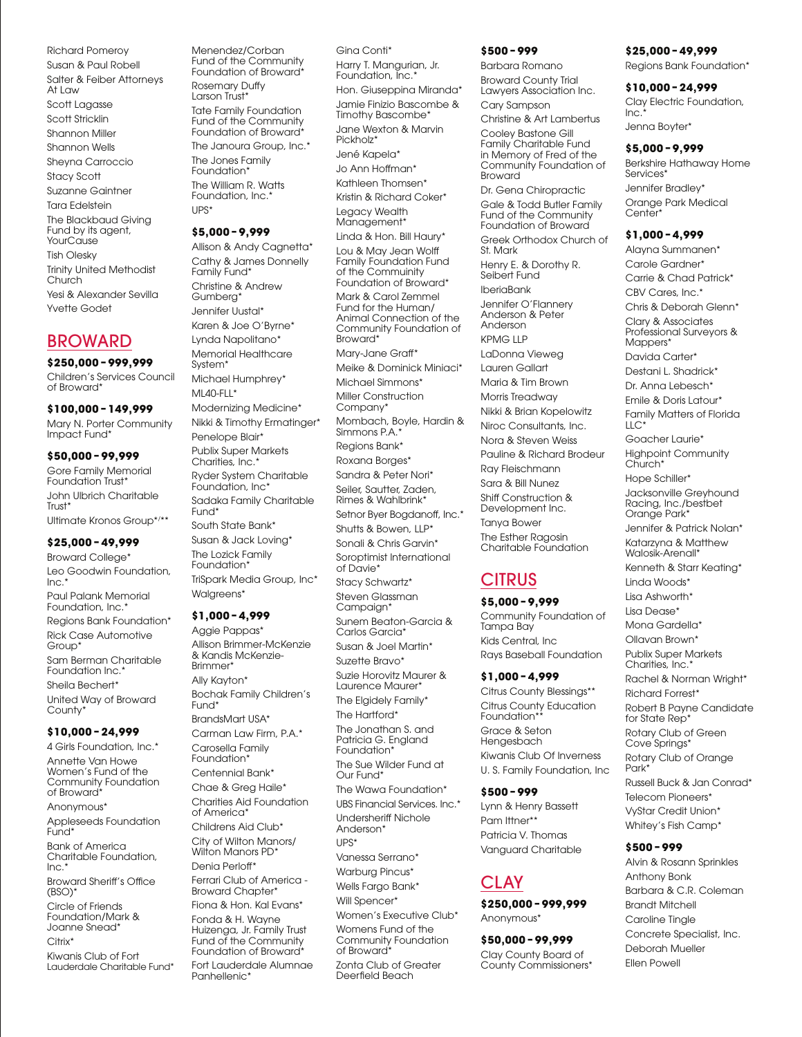Richard Pomeroy Susan & Paul Robell Salter & Feiber Attorneys At Law Scott Lagasse Scott Stricklin Shannon Miller Shannon Wells Sheyna Carroccio Stacy Scott Suzanne Gaintner Tara Edelstein The Blackbaud Giving Fund by its agent, **YourCause** Tish Olesky Trinity United Methodist Church Yesi & Alexander Sevilla Yvette Godet

# BROWARD

### **\$250,000 – 999,999**

Children's Services Council of Broward\*

### **\$100,000 – 149,999**

Mary N. Porter Community Impact Fund\*

### **\$50,000 – 99,999**

Gore Family Memorial Foundation Trust<sup>\*</sup> John Ulbrich Charitable Trust<sup>\*</sup> Ultimate Kronos Group\*/ \*\*

# **\$25,000 – 49,999**

Broward College\* Leo Goodwin Foundation,  $Inc.$ Paul Palank Memorial Foundation, Inc.<sup>\*</sup> Regions Bank Foundation\* Rick Case Automotive Group\* Sam Berman Charitable Foundation Inc.<sup>\*</sup> Sheila Bechert\* United Way of Broward County\*

### **\$10,000 – 24,999**

4 Girls Foundation, Inc.\* Annette Van Howe Women's Fund of the Community Foundation of Broward\* Anonymous<sup>\*</sup> Appleseeds Foundation Fund\*

Bank of America Charitable Foundation, Inc.\*

Broward Sheriff's Office (BSO)\*

Circle of Friends Foundation/Mark & Joanne Snead\*

 $C$ itriy\*

Kiwanis Club of Fort Lauderdale Charitable Fund\*

Menendez/Corban Fund of the Community Foundation of Broward\* Rosemary Duffy Larson Trust Tate Family Foundation Fund of the Community Foundation of Broward\* The Janoura Group, Inc.\* The Jones Family Foundation<sup>\*</sup> The William R. Watts Foundation, Inc.\* UPS\* **\$5,000 – 9,999** 

Allison & Andy Cagnetta\* Cathy & James Donnelly Family Fund\* Christine & Andrew Gumberg\* Jennifer Uustal\* Karen & Joe O'Byrne\* Lynda Napolitano\* Memorial Healthcare System\* Michael Humphrey\* ML40-FLL\* Modernizing Medicine\* Nikki & Timothy Ermatinger\* Penelope Blair\* Publix Super Markets Charities, Inc.<sup>\*</sup> Ryder System Charitable Foundation, Inc\* Sadaka Family Charitable Fund<sup>\*</sup> South State Bank\* Susan & Jack Loving\* The Lozick Family

Foundation<sup>\*</sup> TriSpark Media Group, Inc\* Walareens<sup>\*</sup>

### **\$1,000 – 4,999**

Aggie Pappas\* Allison Brimmer-McKenzie & Kandis McKenzie-**Brimmer**\* Ally Kayton\* Bochak Family Children's Fund\* BrandsMart USA\* Carman Law Firm, P.A.\* Carosella Family Foundation<sup>\*</sup> Centennial Bank\* Chae & Greg Haile\* Charities Aid Foundation of America\* Childrens Aid Club\* City of Wilton Manors/ Wilton Manors PD\* Denia Perloff\* Ferrari Club of America - Broward Chapter\* Fiona & Hon. Kal Evans\* Fonda & H. Wayne

Huizenga, Jr. Family Trust Fund of the Community Foundation of Broward\*

Fort Lauderdale Alumnae Panhellenic\*

Gina Conti\* Harry T. Mangurian, Jr. Foundation, Inc.\* Hon. Giuseppina Miranda\* Jamie Finizio Bascombe & Timothy Bascombe\* Jane Wexton & Marvin Pickholz<sup>\*</sup> Jené Kapela\* Jo Ann Hoffman\* Kathleen Thomsen\* Kristin & Richard Coker\* Legacy Wealth Management<sup>®</sup> Linda & Hon. Bill Haury\* Lou & May Jean Wolff Family Foundation Fund of the Commuinity Foundation of Broward\* Mark & Carol Zemmel Fund for the Human/ Animal Connection of the Community Foundation of Broward\* Mary-Jane Graff\* Meike & Dominick Miniaci\* Michael Simmons\* Miller Construction Company\* Mombach, Boyle, Hardin & Simmons P.A.\* Regions Bank\* Roxana Borges\* Sandra & Peter Nori\* Seiler, Sautter, Zaden, Rimes & Wahlbrink\* Setnor Byer Bogdanoff, Inc.\* Shutts & Bowen, LLP\* Sonali & Chris Garvin\* Soroptimist International of Davie\* Stacy Schwartz\* Steven Glassman Campaign\* Sunem Beaton-Garcia & Carlos Garcia\* Susan & Joel Martin\*

Suzette Bravo\* Suzie Horovitz Maurer & Laurence Maurer\* The Elgidely Family\*

The Hartford\* The Jonathan S. and Patricia G. England Foundation\* The Sue Wilder Fund at Our Fund\*

The Wawa Foundation\* UBS Financial Services. Inc.<sup>\*</sup>

Undersheriff Nichole Anderson\*

UPS\*

Vanessa Serrano\* Warburg Pincus\*

Wells Fargo Bank\*

Will Spencer\* Women's Executive Club\* Womens Fund of the

Community Foundation of Broward\* Zonta Club of Greater Deerfield Beach

**\$500 – 999**  Barbara Romano Broward County Trial Lawyers Association Inc. Cary Sampson Christine & Art Lambertus Cooley Bastone Gill Family Charitable Fund in Memory of Fred of the Community Foundation of Broward Dr. Gena Chiropractic Gale & Todd Butler Family Fund of the Community Foundation of Broward Greek Orthodox Church of St. Mark Henry E. & Dorothy R. Seibert Fund IberiaBank Jennifer O'Flannery Anderson & Peter Anderson KPMG LLP LaDonna Vieweg Lauren Gallart Maria & Tim Brown Morris Treadway Nikki & Brian Kopelowitz Niroc Consultants, Inc. Nora & Steven Weiss Pauline & Richard Brodeur Ray Fleischmann Sara & Bill Nunez Shiff Construction & Development Inc. Tanya Bower The Esther Ragosin Charitable Foundation

# **CITRUS**

# **\$5,000 – 9,999**

Community Foundation of Tampa Bay Kids Central, Inc Rays Baseball Foundation

# **\$1,000 – 4,999**

Citrus County Blessings\*\* Citrus County Education Foundation\*\* Grace & Seton Hengesbach Kiwanis Club Of Inverness U. S. Family Foundation, Inc

# **\$500 – 999**

Lynn & Henry Bassett Pam Ittner\*\* Patricia V. Thomas Vanguard Charitable

# CLAY

**\$250,000 – 999,999**  Anonymous\*

# **\$50,000 – 99,999**

Clay County Board of County Commissioners\*

# **\$25,000 – 49,999**

Regions Bank Foundation\*

**\$10,000 – 24,999**  Clay Electric Foundation,  $Inc.$ Jenna Boyter\*

# **\$5,000 – 9,999**

Berkshire Hathaway Home Services<sup>\*</sup> Jennifer Bradley\* Orange Park Medical Center\*

# **\$1,000 – 4,999**

Alayna Summanen\* Carole Gardner\* Carrie & Chad Patrick\* CBV Cares, Inc.\* Chris & Deborah Glenn\*

Clary & Associates Professional Surveyors & Mappers<sup>\*</sup> Davida Carter\*

Destani L. Shadrick\*

Dr. Anna Lebesch\*

Emile & Doris Latour\* Family Matters of Florida

LLC<sup>\*</sup> Goacher Laurie\* Highpoint Community

Church<sup>\*</sup> Hope Schiller\*

Jacksonville Greyhound Racing, Inc./bestbet Orange Park\*

Jennifer & Patrick Nolan\* Katarzyna & Matthew

Walosik-Arenall\* Kenneth & Starr Keating\*

Linda Woods\*

Lisa Ashworth<sup>\*</sup>

Lisa Dease\*

Mona Gardella\*

Ollavan Brown\* Publix Super Markets

Charities, Inc.<sup>\*</sup>

Rachel & Norman Wright\*

Richard Forrest\*

Robert B Payne Candidate for State Rep<sup>\*</sup>

Rotary Club of Green

Cove Springs\* Rotary Club of Orange

Park\*

Russell Buck & Jan Conrad\* Telecom Pioneers\* VyStar Credit Union\* Whitey's Fish Camp\*

# **\$500 – 999**

Alvin & Rosann Sprinkles Anthony Bonk Barbara & C.R. Coleman Brandt Mitchell Caroline Tingle Concrete Specialist, Inc. Deborah Mueller Ellen Powell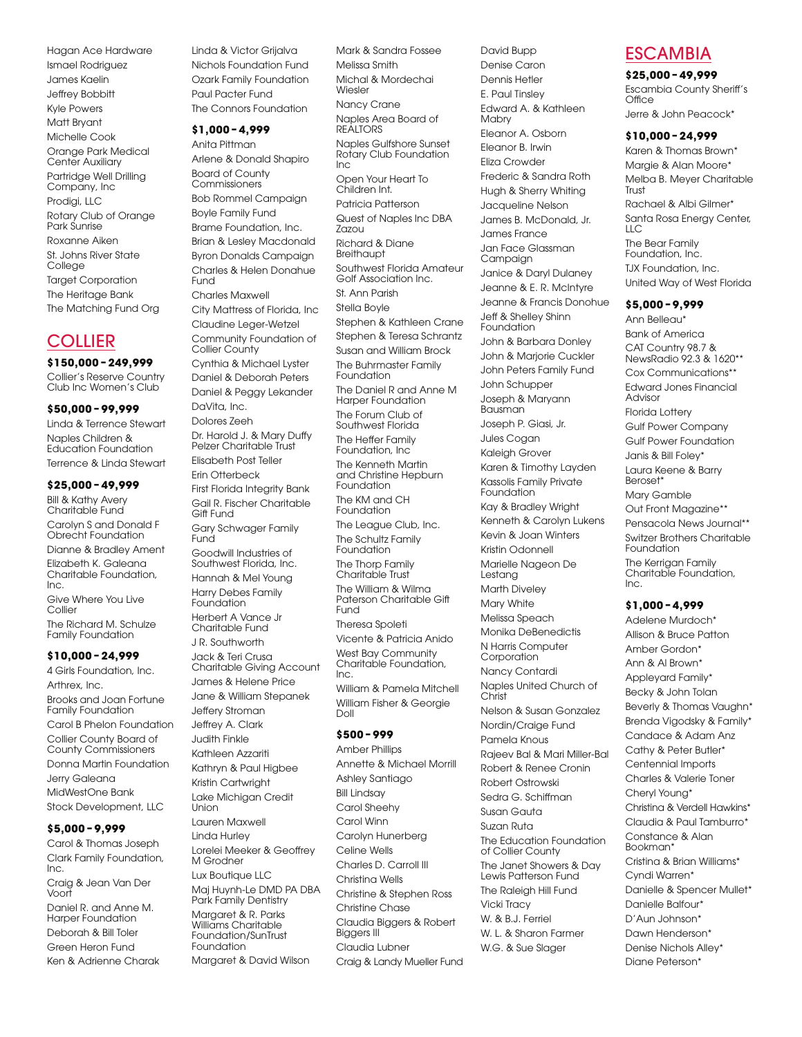Hagan Ace Hardware Ismael Rodriguez James Kaelin Jeffrey Bobbitt Kyle Powers Matt Bryant Michelle Cook Orange Park Medical Center Auxiliary Partridge Well Drilling Company, Inc Prodigi, LLC Rotary Club of Orange Park Sunrise Roxanne Aiken St. Johns River State **College** Target Corporation The Heritage Bank The Matching Fund Org

# **COLLIER**

### **\$150,000 – 249,999**

Collier's Reserve Country Club Inc Women's Club

### **\$50,000 – 99,999**

Linda & Terrence Stewart Naples Children & Education Foundation Terrence & Linda Stewart

### **\$25,000 – 49,999**

Bill & Kathy Avery Charitable Fund

Carolyn S and Donald F Obrecht Foundation Dianne & Bradley Ament

Elizabeth K. Galeana Charitable Foundation, Inc.

Give Where You Live Collier The Richard M. Schulze Family Foundation

# **\$10,000 – 24,999**

4 Girls Foundation, Inc. Arthrex, Inc. Brooks and Joan Fortune Family Foundation Carol B Phelon Foundation Collier County Board of County Commissioners Donna Martin Foundation Jerry Galeana MidWestOne Bank Stock Development, LLC

### **\$5,000 – 9,999**

Carol & Thomas Joseph Clark Family Foundation, Inc. Craig & Jean Van Der Voort Daniel R. and Anne M.

Harper Foundation Deborah & Bill Toler Green Heron Fund Ken & Adrienne Charak Linda & Victor Grijalva Nichols Foundation Fund Ozark Family Foundation Paul Pacter Fund The Connors Foundation

# **\$1,000 – 4,999**

Anita Pittman Arlene & Donald Shapiro Board of County Commissioners Bob Rommel Campaign Boyle Family Fund Brame Foundation, Inc. Brian & Lesley Macdonald Byron Donalds Campaign Charles & Helen Donahue Fund Charles Maxwell City Mattress of Florida, Inc Claudine Leger-Wetzel Community Foundation of Collier County Cynthia & Michael Lyster

Daniel & Deborah Peters Daniel & Peggy Lekander DaVita, Inc. Dolores Zeeh Dr. Harold J. & Mary Duffy Pelzer Charitable Trust Elisabeth Post Teller Erin Otterbeck First Florida Integrity Bank Gail R. Fischer Charitable Gift Fund Gary Schwager Family Func Goodwill Industries of Southwest Florida, Inc. Hannah & Mel Young Harry Debes Family Foundation Herbert A Vance Jr Charitable Fund J R. Southworth Jack & Teri Crusa Charitable Giving Account James & Helene Price Jane & William Stepanek

Jeffery Stroman Jeffrey A. Clark Judith Finkle Kathleen Azzariti Kathryn & Paul Higbee Kristin Cartwright Lake Michigan Credit Union Lauren Maxwell Linda Hurley Lorelei Meeker & Geoffrey M Grodner Lux Boutique LLC Maj Huynh-Le DMD PA DBA Park Family Dentistry Margaret & R. Parks Williams Charitable Foundation/SunTrust Foundation Margaret & David Wilson

Mark & Sandra Fossee Melissa Smith Michal & Mordechai Wiesler Nancy Crane Naples Area Board of **REALTORS** Naples Gulfshore Sunset Rotary Club Foundation Inc Open Your Heart To Children Int. Patricia Patterson Quest of Naples Inc DBA Zazou Richard & Diane **Breithaupt** Southwest Florida Amateur Golf Association Inc. St. Ann Parish Stella Boyle Stephen & Kathleen Crane Stephen & Teresa Schrantz Susan and William Brock The Buhrmaster Family Foundation The Daniel R and Anne M Harper Foundation The Forum Club of Southwest Florida The Heffer Family Foundation, Inc The Kenneth Martin and Christine Hepburn Foundation The KM and CH Foundation The League Club, Inc. The Schultz Family Foundation The Thorp Family Charitable Trust The William & Wilma Paterson Charitable Gift **Fund** Theresa Spoleti Vicente & Patricia Anido West Bay Community Charitable Foundation,  $Inc.$ William & Pamela Mitchell William Fisher & Georgie Doll **\$500 – 999**  Amber Phillips Annette & Michael Morrill Ashley Santiago Bill Lindsay Carol Sheehy Carol Winn Carolyn Hunerberg Celine Wells Charles D. Carroll III Christina Wells Christine & Stephen Ross Christine Chase Claudia Biggers & Robert Biggers III Claudia Lubner

Craig & Landy Mueller Fund

Denise Caron Dennis Hetler E. Paul Tinsley Edward A. & Kathleen **Mabry** Eleanor A. Osborn Eleanor B. Irwin Eliza Crowder Frederic & Sandra Roth Hugh & Sherry Whiting Jacqueline Nelson James B. McDonald, Jr. James France Jan Face Glassman Campaign Janice & Daryl Dulaney Jeanne & E. R. McIntyre Jeanne & Francis Donohue Jeff & Shelley Shinn Foundation John & Barbara Donley John & Marjorie Cuckler John Peters Family Fund John Schupper Joseph & Maryann Bausman Joseph P. Giasi, Jr. Jules Cogan Kaleigh Grover Karen & Timothy Layden Kassolis Family Private Foundation Kay & Bradley Wright Kenneth & Carolyn Lukens Kevin & Joan Winters Kristin Odonnell Marielle Nageon De Lestang Marth Diveley Mary White Melissa Speach Monika DeBenedictis N Harris Computer Corporation Nancy Contardi Naples United Church of Christ Nelson & Susan Gonzalez Nordin/Craige Fund Pamela Knous Rajeev Bal & Mari Miller-Bal Robert & Renee Cronin Robert Ostrowski Sedra G. Schiffman Susan Gauta Suzan Ruta The Education Foundation of Collier County The Janet Showers & Day Lewis Patterson Fund The Raleigh Hill Fund Vicki Tracy W. & B.J. Ferriel W. L. & Sharon Farmer W.G. & Sue Slager

David Bupp

# ESCAMBIA

### **\$25,000 – 49,999**

Escambia County Sheriff's **Office** Jerre & John Peacock\*

### **\$10,000 – 24,999**

Karen & Thomas Brown\* Margie & Alan Moore\* Melba B. Meyer Charitable **Trust** Rachael & Albi Gilmer\* Santa Rosa Energy Center, LLC The Bear Family Foundation, Inc. TJX Foundation, Inc. United Way of West Florida

### **\$5,000 – 9,999**

Ann Belleau\* Bank of America CAT Country 98.7 & NewsRadio 92.3 & 1620\*\* Cox Communications\*\* Edward Jones Financial Advisor Florida Lottery Gulf Power Company Gulf Power Foundation Janis & Bill Foley\* Laura Keene & Barry Beroset\* Mary Gamble Out Front Magazine\*\* Pensacola News Journal\*\* Switzer Brothers Charitable Foundation The Kerrigan Family Charitable Foundation, Inc.

### **\$1,000 – 4,999**

Adelene Murdoch\* Allison & Bruce Patton Amber Gordon\* Ann & Al Brown\* Appleyard Family\* Becky & John Tolan Beverly & Thomas Vaughn\* Brenda Vigodsky & Family\* Candace & Adam Anz Cathy & Peter Butler\* Centennial Imports Charles & Valerie Toner Cheryl Young\* Christina & Verdell Hawkins\* Claudia & Paul Tamburro\* Constance & Alan Bookman\* Cristina & Brian Williams\* Cyndi Warren\* Danielle & Spencer Mullet\* Danielle Balfour\* D'Aun Johnson\* Dawn Henderson\* Denise Nichols Alley\* Diane Peterson<sup>\*</sup>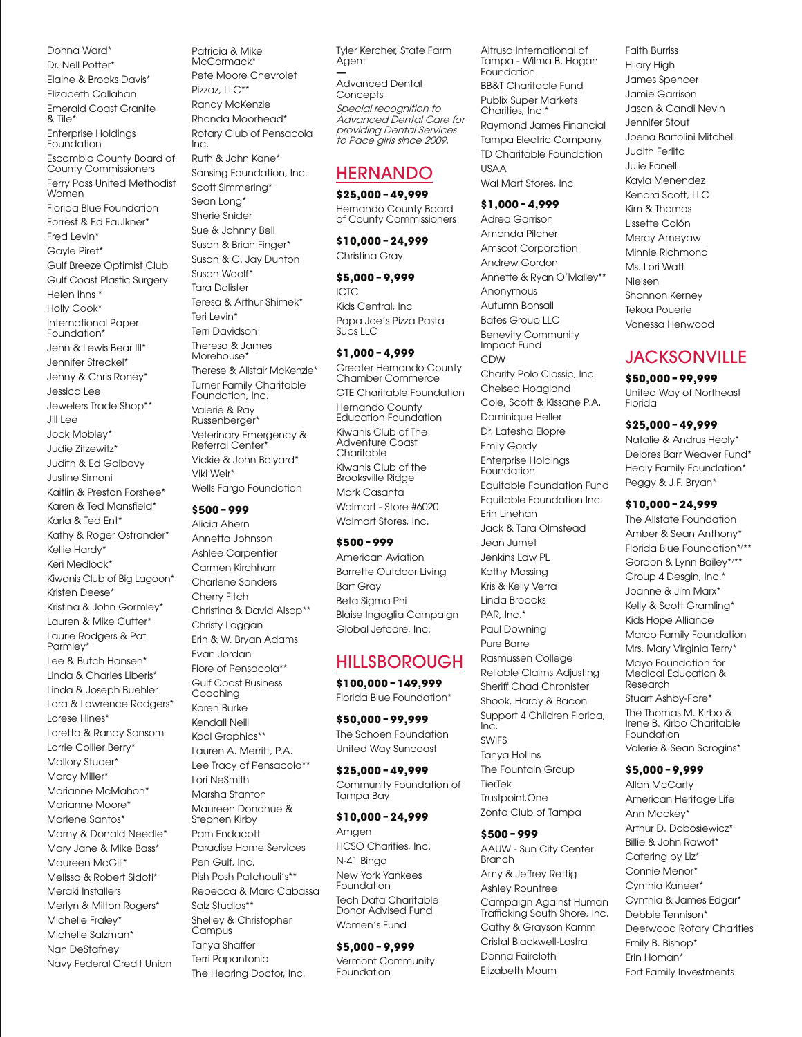Donna Ward\* Dr. Nell Potter\* Elaine & Brooks Davis\* Elizabeth Callahan Emerald Coast Granite & Tile\* Enterprise Holdings Foundation Escambia County Board of County Commissioners Ferry Pass United Methodist Women Florida Blue Foundation Forrest & Ed Faulkner\* Fred Levin\* Gayle Piret\* Gulf Breeze Optimist Club Gulf Coast Plastic Surgery Helen Ihns \* Holly Cook\* International Paper Foundation\* Jenn & Lewis Bear III\* Jennifer Streckel\* Jenny & Chris Roney\* Jessica Lee Jewelers Trade Shop\*\* Jill Lee Jock Mobley\* Judie Zitzewitz\* Judith & Ed Galbavy Justine Simoni Kaitlin & Preston Forshee\* Karen & Ted Mansfield\* Karla & Ted Ent\* Kathy & Roger Ostrander\* Kellie Hardy\* Keri Medlock\* Kiwanis Club of Big Lagoon\* Kristen Deese\* Kristina & John Gormley\* Lauren & Mike Cutter\* Laurie Rodgers & Pat Parmley<sup>\*</sup> Lee & Butch Hansen\* Linda & Charles Liberis\* Linda & Joseph Buehler Lora & Lawrence Rodgers\* Lorese Hines\* Loretta & Randy Sansom Lorrie Collier Berry\* Mallory Studer\* Marcy Miller\* Marianne McMahon\* Marianne Moore\* Marlene Santos\* Marny & Donald Needle\* Mary Jane & Mike Bass\* Maureen McGill\* Melissa & Robert Sidoti\* Meraki Installers Merlyn & Milton Rogers\* Michelle Fraley\* Michelle Salzman\* Nan DeStafney Navy Federal Credit Union

Patricia & Mike McCormack\* Pete Moore Chevrolet Pizzaz, LLC\*\* Randy McKenzie Rhonda Moorhead\* Rotary Club of Pensacola Inc. Ruth & John Kane\* Sansing Foundation, Inc. Scott Simmering\* Sean Long<sup>\*</sup> Sherie Snider Sue & Johnny Bell Susan & Brian Finger\* Susan & C. Jay Dunton Susan Woolf\* Tara Dolister Teresa & Arthur Shimek\* Teri Levin\* Terri Davidson Theresa & James **Morehouse** Therese & Alistair McKenzie\* Turner Family Charitable Foundation, Inc. Valerie & Ray Russenberger\* Veterinary Emergency & Referral Center\* Vickie & John Bolyard\*

Viki Weir\* Wells Fargo Foundation

#### **\$500 – 999**

Alicia Ahern Annetta Johnson Ashlee Carpentier Carmen Kirchharr Charlene Sanders Cherry Fitch Christina & David Alsop\*\* Christy Laggan Erin & W. Bryan Adams Evan Jordan Fiore of Pensacola\*\* Gulf Coast Business Coaching Karen Burke Kendall Neill Kool Graphics\*\* Lauren A. Merritt, P.A. Lee Tracy of Pensacola\*\* Lori NeSmith Marsha Stanton Maureen Donahue & Stephen Kirby Pam Endacott Paradise Home Services Pen Gulf, Inc. Pish Posh Patchouli's\*\* Rebecca & Marc Cabassa Salz Studios\*\* Shelley & Christopher Campus Tanya Shaffer Terri Papantonio The Hearing Doctor, Inc.

Tyler Kercher, State Farm Agent

**—** Advanced Dental **Concepts** Special recognition to Advanced Dental Care for providing Dental Services to Pace girls since 2009.

# HERNANDO

### **\$25,000 – 49,999**

Hernando County Board of County Commissioners

**\$10,000 – 24,999**  Christina Gray

**\$5,000 – 9,999**  ICTC Kids Central, Inc Papa Joe's Pizza Pasta Subs LLC

### **\$1,000 – 4,999**

Greater Hernando County Chamber Commerce GTE Charitable Foundation Hernando County Education Foundation Kiwanis Club of The Adventure Coast **Charitable** Kiwanis Club of the Brooksville Ridge Mark Casanta Walmart - Store #6020 Walmart Stores, Inc.

### **\$500 – 999**

American Aviation Barrette Outdoor Living Bart Gray Beta Sigma Phi Blaise Ingoglia Campaign Global Jetcare, Inc.

# HILLSBOROUGH

**\$100,000 – 149,999**  Florida Blue Foundation\*

**\$50,000 – 99,999**  The Schoen Foundation United Way Suncoast

**\$25,000 – 49,999**  Community Foundation of Tampa Bay

### **\$10,000 – 24,999**

Amgen HCSO Charities, Inc. N-41 Bingo New York Yankees Foundation Tech Data Charitable Donor Advised Fund Women's Fund

### **\$5,000 – 9,999**

Vermont Community Foundation

Altrusa International of Tampa - Wilma B. Hogan **Foundation** BB&T Charitable Fund Publix Super Markets Charities, Inc.<sup>\*</sup> Raymond James Financial Tampa Electric Company TD Charitable Foundation USAA Wal Mart Stores, Inc.

#### **\$1,000 – 4,999**

Adrea Garrison Amanda Pilcher Amscot Corporation Andrew Gordon Annette & Ryan O'Malley\*\* Anonymous Autumn Bonsall Bates Group LLC Benevity Community Impact Fund CDW Charity Polo Classic, Inc. Chelsea Hoagland Cole, Scott & Kissane P.A. Dominique Heller Dr. Latesha Elopre Emily Gordy Enterprise Holdings **Foundation** Equitable Foundation Fund Equitable Foundation Inc. Erin Linehan Jack & Tara Olmstead Jean Jumet Jenkins Law PL Kathy Massing Kris & Kelly Verra Linda Broocks PAR, Inc.\* Paul Downing Pure Barre Rasmussen College Reliable Claims Adjusting Sheriff Chad Chronister Shook, Hardy & Bacon Support 4 Children Florida, Inc. SWIFS Tanya Hollins The Fountain Group TierTek Trustpoint.One

**\$500 – 999** 

Zonta Club of Tampa

AAUW - Sun City Center Branch Amy & Jeffrey Rettig Ashley Rountree Campaign Against Human Trafficking South Shore, Inc. Cathy & Grayson Kamm Cristal Blackwell-Lastra Donna Faircloth Elizabeth Moum

Faith Burriss Hilary High James Spencer Jamie Garrison Jason & Candi Nevin Jennifer Stout Joena Bartolini Mitchell Judith Ferlita Julie Fanelli Kayla Menendez Kendra Scott, LLC Kim & Thomas Lissette Colón Mercy Ameyaw Minnie Richmond Ms. Lori Watt Nielsen Shannon Kerney Tekoa Pouerie Vanessa Henwood

# **JACKSONVILLE**

**\$50,000 – 99,999**  United Way of Northeast Florida

### **\$25,000 – 49,999**

Natalie & Andrus Healy\* Delores Barr Weaver Fund\* Healy Family Foundation\* Peggy & J.F. Bryan\*

### **\$10,000 – 24,999**

The Allstate Foundation Amber & Sean Anthony\* Florida Blue Foundation\*/ \*\* Gordon & Lynn Bailey\*/ \*\* Group 4 Desgin, Inc.\* Joanne & Jim Marx\* Kelly & Scott Gramling\* Kids Hope Alliance Marco Family Foundation Mrs. Mary Virginia Terry\* Mayo Foundation for Medical Education & Research Stuart Ashby-Fore\* The Thomas M. Kirbo & Irene B. Kirbo Charitable Foundation Valerie & Sean Scrogins\*

# **\$5,000 – 9,999**

**Allan McCarty** American Heritage Life Ann Mackey\* Arthur D. Dobosiewicz\* Billie & John Rawot\* Catering by Liz\* Connie Menor\* Cynthia Kaneer\* Cynthia & James Edgar\* Debbie Tennison\* Deerwood Rotary Charities Emily B. Bishop\* Erin Homan\* Fort Family Investments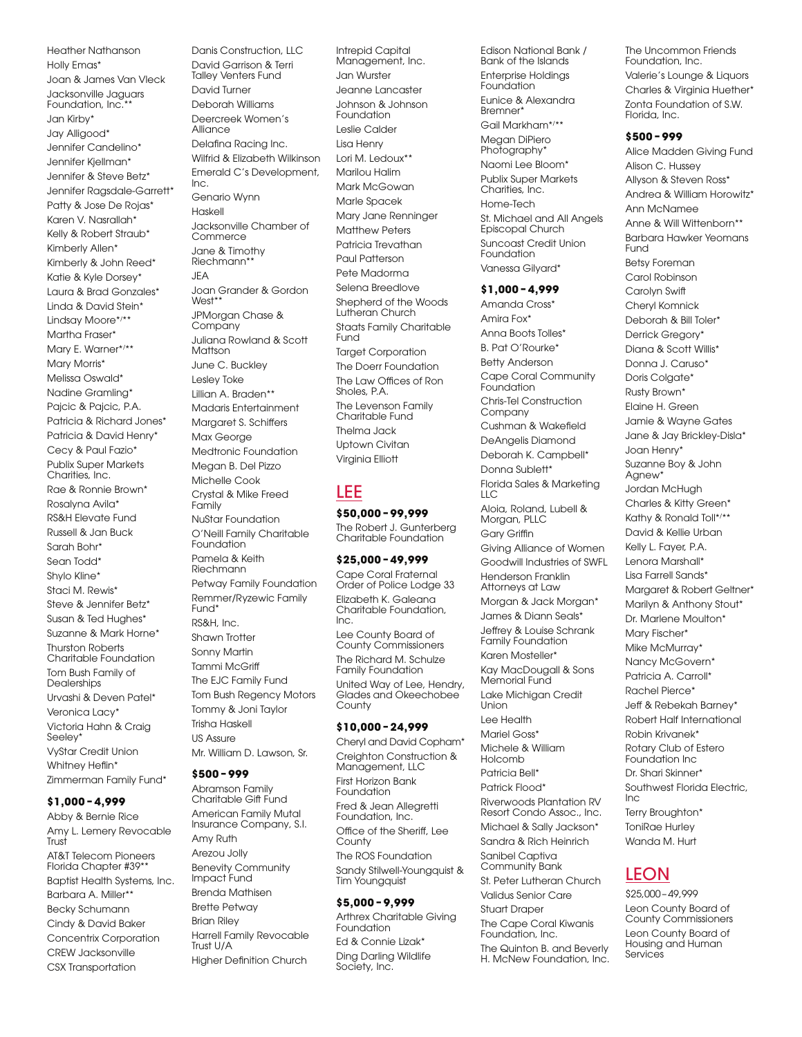Heather Nathanson Holly Emas\* Joan & James Van Vleck Jacksonville Jaguars Foundation, Inc.<sup>\*</sup> Jan Kirby\* Jay Alligood\* Jennifer Candelino\* Jennifer Kjellman\* Jennifer & Steve Betz\* Jennifer Ragsdale-Garrett\* Patty & Jose De Rojas\* Karen V. Nasrallah\* Kelly & Robert Straub\* Kimberly Allen\* Kimberly & John Reed\* Katie & Kyle Dorsey\* Laura & Brad Gonzales\* Linda & David Stein\* Lindsay Moore\*/ \*\* Martha Fraser\* Mary E. Warner\*/ \*\* Mary Morris\* Melissa Oswald\* Nadine Gramling\* Pajcic & Pajcic, P.A. Patricia & Richard Jones\* Patricia & David Henry\* Cecy & Paul Fazio\* Publix Super Markets Charities, Inc. Rae & Ronnie Brown\* Rosalyna Avila\* RS&H Elevate Fund Russell & Jan Buck Sarah Bohr\* Sean Todd\* Shylo Kline\* Staci M. Rewis\* Steve & Jennifer Betz\* Susan & Ted Hughes\* Suzanne & Mark Horne\* Thurston Roberts Charitable Foundation Tom Bush Family of **Dealerships** Urvashi & Deven Patel\* Veronica Lacy\* Victoria Hahn & Craig Seeley\* VyStar Credit Union Whitney Heflin\* Zimmerman Family Fund\*

# **\$1,000 – 4,999**

Abby & Bernie Rice Amy L. Lemery Revocable Trust<sup>7</sup> AT&T Telecom Pioneers Florida Chapter #39\*\* Baptist Health Systems, Inc. Barbara A. Miller\*\* Becky Schumann Cindy & David Baker Concentrix Corporation CREW Jacksonville CSX Transportation

Danis Construction, LLC David Garrison & Terri Talley Venters Fund David Turner Deborah Williams Deercreek Women's Alliance Delafina Racing Inc. Wilfrid & Elizabeth Wilkinson Emerald C's Development, Inc. Genario Wynn Haskell Jacksonville Chamber of Commerce Jane & Timothy Riechmann<sup>\*</sup> JEA Joan Grander & Gordon West\* JPMorgan Chase & Company Juliana Rowland & Scott Mattson June C. Buckley Lesley Toke Lillian A. Braden\*\* Madaris Entertainment Margaret S. Schiffers Max George Medtronic Foundation Megan B. Del Pizzo Michelle Cook Crystal & Mike Freed Family NuStar Foundation O'Neill Family Charitable Foundation Pamela & Keith Riechmann Petway Family Foundation Remmer/Ryzewic Family Fund<sup>\*</sup> RS&H, Inc. Shawn Trotter Sonny Martin Tammi McGriff The EJC Family Fund Tom Bush Regency Motors Tommy & Joni Taylor Trisha Haskell US Assure Mr. William D. Lawson, Sr.

# **\$500 – 999**

Abramson Family Charitable Gift Fund American Family Mutal Insurance Company, S.I. Amy Ruth Arezou Jolly Benevity Community Impact Fund Brenda Mathisen Brette Petway Brian Riley Harrell Family Revocable Trust U/A Higher Definition Church

Intrepid Capital Management, Inc. Jan Wurster Jeanne Lancaster Johnson & Johnson Foundation Leslie Calder Lisa Henry Lori M. Ledoux\*\* Marilou Halim Mark McGowan Marle Spacek Mary Jane Renninger Matthew Peters Patricia Trevathan Paul Patterson Pete Madorma Selena Breedlove Shepherd of the Woods Lutheran Church Staats Family Charitable Fund Target Corporation The Doerr Foundation The Law Offices of Ron Sholes, P.A. The Levenson Family Charitable Fund Thelma Jack Uptown Civitan Virginia Elliott

# LEE

#### **\$50,000 – 99,999**  The Robert J. Gunterberg Charitable Foundation

### **\$25,000 – 49,999**

Cape Coral Fraternal Order of Police Lodge 33 Elizabeth K. Galeana Charitable Foundation, Inc. Lee County Board of

County Commissioners The Richard M. Schulze Family Foundation United Way of Lee, Hendry, Glades and Okeechobee **County** 

#### **\$10,000 – 24,999**

Cheryl and David Copham\* Creighton Construction & Management, LLC First Horizon Bank **Foundation** Fred & Jean Allegretti Foundation, Inc. Office of the Sheriff, Lee **County** The ROS Foundation Sandy Stilwell-Youngquist & Tim Youngquist

# **\$5,000 – 9,999**

Arthrex Charitable Giving Foundation Ed & Connie Lizak\* Ding Darling Wildlife Society, Inc.

Bank of the Islands Enterprise Holdings Foundation Eunice & Alexandra Bremner\* Gail Markham\*/ \*\* Megan DiPiero Photography\* Naomi Lee Bloom\* Publix Super Markets Charities, Inc. Home-Tech St. Michael and All Angels Episcopal Church Suncoast Credit Union Foundation Vanessa Gilyard\*

Edison National Bank /

#### **\$1,000 – 4,999**

Amanda Cross\* Amira Fox\* Anna Boots Tolles\* B. Pat O'Rourke\* Betty Anderson Cape Coral Community Foundation Chris-Tel Construction Company Cushman & Wakefield DeAngelis Diamond Deborah K. Campbell\* Donna Sublett\* Florida Sales & Marketing  $\overline{L}$ Aloia, Roland, Lubell & Morgan, PLLC Gary Griffin Giving Alliance of Women Goodwill Industries of SWFL Henderson Franklin Attorneys at Law Morgan & Jack Morgan\* James & Diann Seals\* Jeffrey & Louise Schrank Family Foundation Karen Mosteller\* Kay MacDougall & Sons Memorial Fund Lake Michigan Credit Union Lee Health Mariel Goss\* Michele & William Holcomb Patricia Bell\* Patrick Flood\* Riverwoods Plantation RV Resort Condo Assoc., Inc. Michael & Sally Jackson\* Sandra & Rich Heinrich Sanibel Captiva Community Bank St. Peter Lutheran Church Validus Senior Care Stuart Draper The Cape Coral Kiwanis Foundation, Inc. The Quinton B. and Beverly H. McNew Foundation, Inc. The Uncommon Friends Foundation, Inc. Valerie's Lounge & Liquors Charles & Virginia Huether\* Zonta Foundation of S.W. Florida, Inc.

### **\$500 – 999**

Alice Madden Giving Fund Alison C. Hussey Allyson & Steven Ross\* Andrea & William Horowitz\* Ann McNamee Anne & Will Wittenborn\*\* Barbara Hawker Yeomans Fund Betsy Foreman Carol Robinson Carolyn Swift Cheryl Komnick Deborah & Bill Toler\* Derrick Gregory\* Diana & Scott Willis\* Donna J. Caruso\* Doris Colgate\* Rusty Brown\* Elaine H. Green Jamie & Wayne Gates Jane & Jay Brickley-Disla\* Joan Henry\* Suzanne Boy & John Agnew<sup>\*</sup> Jordan McHugh Charles & Kitty Green\* Kathy & Ronald Toll\*/ \*\* David & Kellie Urban Kelly L. Fayer, P.A. Lenora Marshall\* Lisa Farrell Sands\* Margaret & Robert Geltner\* Marilyn & Anthony Stout\* Dr. Marlene Moulton\* Mary Fischer\* Mike McMurray\* Nancy McGovern\* Patricia A. Carroll\* Rachel Pierce\* Jeff & Rebekah Barney\* Robert Half International Robin Krivanek\* Rotary Club of Estero Foundation Inc Dr. Shari Skinner\* Southwest Florida Electric, Inc Terry Broughton\* ToniRae Hurley Wanda M. Hurt

# LEON

\$25,000–49,999 Leon County Board of County Commissioners Leon County Board of Housing and Human Services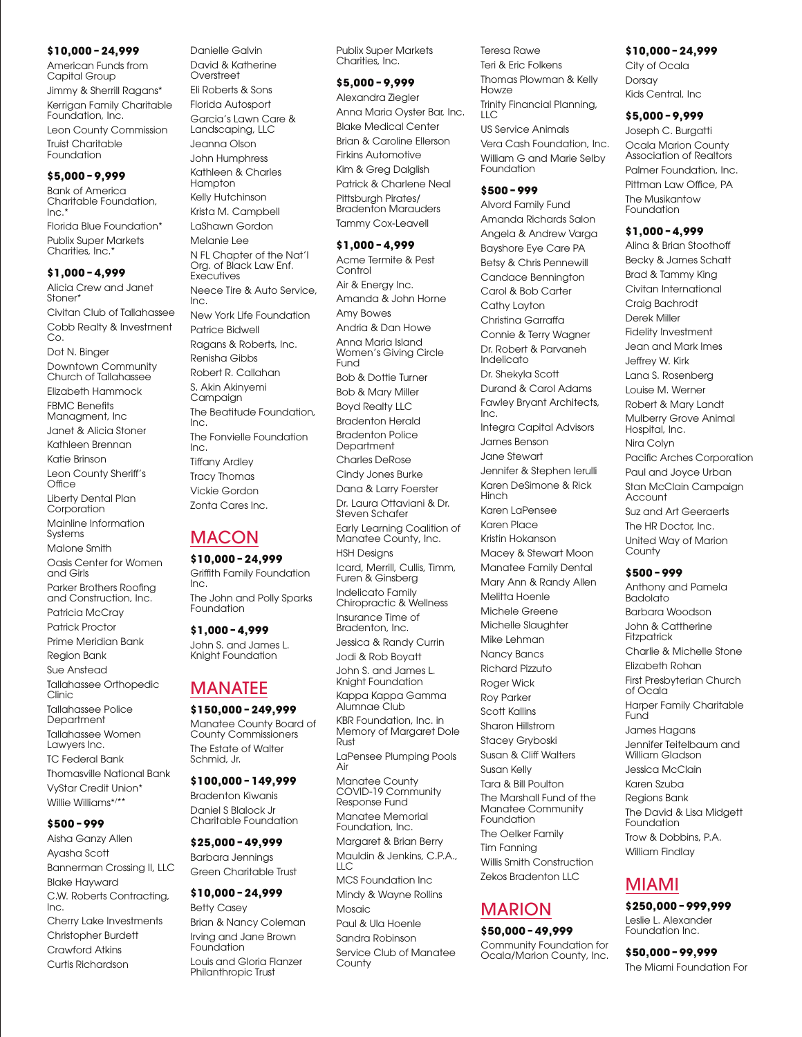### **\$10,000 – 24,999**

American Funds from Capital Group

Jimmy & Sherrill Ragans\* Kerrigan Family Charitable Foundation, Inc.

Leon County Commission Truist Charitable Foundation

#### **\$5,000 – 9,999**

Bank of America Charitable Foundation, Inc.\* Florida Blue Foundation\* Publix Super Markets Charities, Inc.\*

# **\$1,000 – 4,999**

Alicia Crew and Janet Stoner<sup>\*</sup> Civitan Club of Tallahassee Cobb Realty & Investment Co. Dot N. Binger Downtown Community Church of Tallahassee Elizabeth Hammock FBMC Benefits Managment, Inc Janet & Alicia Stoner Kathleen Brennan Katie Brinson Leon County Sheriff's Office Liberty Dental Plan Corporation Mainline Information **Systems** Malone Smith Oasis Center for Women and Girls Parker Brothers Roofing and Construction, Inc.

Patricia McCray

Patrick Proctor Prime Meridian Bank

Region Bank

Sue Anstead

Tallahassee Orthopedic

Clinic Tallahassee Police

**Department** 

Tallahassee Women Lawyers Inc. TC Federal Bank Thomasville National Bank

VyStar Credit Union\* Willie Williams\*/ \*\*

# **\$500 – 999**

Aisha Ganzy Allen Ayasha Scott Bannerman Crossing II, LLC Blake Hayward C.W. Roberts Contracting, Inc. Cherry Lake Investments Christopher Burdett Crawford Atkins Curtis Richardson

David & Katherine **Overstreet** Eli Roberts & Sons Florida Autosport Garcia's Lawn Care & Landscaping, LLC Jeanna Olson John Humphress Kathleen & Charles **Hampton** Kelly Hutchinson Krista M. Campbell LaShawn Gordon Melanie Lee N FL Chapter of the Nat'l Org. of Black Law Enf. **Executives** Neece Tire & Auto Service, Inc. New York Life Foundation Patrice Bidwell Ragans & Roberts, Inc. Renisha Gibbs Robert R. Callahan S. Akin Akinyemi **Campaign** The Beatitude Foundation, Inc. The Fonvielle Foundation Inc. Tiffany Ardley Tracy Thomas Vickie Gordon Zonta Cares Inc.

Danielle Galvin

# **MACON**

**\$10,000 – 24,999**  Griffith Family Foundation Inc. The John and Polly Sparks Foundation

**\$1,000 – 4,999**  John S. and James L. Knight Foundation

# MANATEE

# **\$150,000 – 249,999**

Manatee County Board of County Commissioners The Estate of Walter Schmid, Jr.

### **\$100,000 – 149,999**

Bradenton Kiwanis Daniel S Blalock Jr Charitable Foundation

### **\$25,000 – 49,999**

Barbara Jennings Green Charitable Trust

# **\$10,000 – 24,999**

Betty Casey Brian & Nancy Coleman Irving and Jane Brown Foundation Louis and Gloria Flanzer Philanthropic Trust

Publix Super Markets Charities, Inc.

# **\$5,000 – 9,999**

Alexandra Ziegler Anna Maria Oyster Bar, Inc. Blake Medical Center Brian & Caroline Ellerson Firkins Automotive Kim & Greg Dalglish Patrick & Charlene Neal Pittsburgh Pirates/ **Bradenton Marauders** Tammy Cox-Leavell

### **\$1,000 – 4,999**

Acme Termite & Pest Control Air & Energy Inc. Amanda & John Horne Amy Bowes Andria & Dan Howe Anna Maria Island Women's Giving Circle Fund Bob & Dottie Turner Bob & Mary Miller Boyd Realty LLC Bradenton Herald Bradenton Police **Department** Charles DeRose Cindy Jones Burke Dana & Larry Foerster Dr. Laura Ottaviani & Dr. Steven Schafer Early Learning Coalition of Manatee County, Inc. HSH Designs Icard, Merrill, Cullis, Timm, Furen & Ginsberg Indelicato Family Chiropractic & Wellness Insurance Time of Bradenton, Inc. Jessica & Randy Currin Jodi & Rob Boyatt John S. and James L. Knight Foundation Kappa Kappa Gamma Alumnae Club KBR Foundation, Inc. in Memory of Margaret Dole Rust LaPensee Plumping Pools Air Manatee County COVID-19 Community Response Fund Manatee Memorial Foundation, Inc. Margaret & Brian Berry Mauldin & Jenkins, C.P.A., LLC MCS Foundation Inc Mindy & Wayne Rollins Mosaic Paul & Ula Hoenle Sandra Robinson Service Club of Manatee **County** 

Teresa Rawe Teri & Eric Folkens Thomas Plowman & Kelly Howze Trinity Financial Planning, LLC US Service Animals Vera Cash Foundation, Inc.

William G and Marie Selby Foundation

#### **\$500 – 999**

Alvord Family Fund Amanda Richards Salon Angela & Andrew Varga Bayshore Eye Care PA Betsy & Chris Pennewill Candace Bennington Carol & Bob Carter Cathy Layton Christina Garraffa Connie & Terry Wagner Dr. Robert & Parvaneh Indelicato Dr. Shekyla Scott Durand & Carol Adams Fawley Bryant Architects, Inc. Integra Capital Advisors James Benson Jane Stewart Jennifer & Stephen Ierulli Karen DeSimone & Rick Hinch Karen LaPensee Karen Place Kristin Hokanson Macey & Stewart Moon Manatee Family Dental Mary Ann & Randy Allen Melitta Hoenle Michele Greene Michelle Slaughter Mike Lehman Nancy Bancs Richard Pizzuto Roger Wick Roy Parker Scott Kallins Sharon Hillstrom Stacey Gryboski Susan & Cliff Walters Susan Kelly Tara & Bill Poulton The Marshall Fund of the Manatee Community Foundation The Oelker Family Tim Fanning Willis Smith Construction Zekos Bradenton LLC

# MARION

#### **\$50,000 – 49,999**  Community Foundation for Ocala/Marion County, Inc.

**\$10,000 – 24,999**  City of Ocala Dorsay Kids Central, Inc

**\$5,000 – 9,999** 

Joseph C. Burgatti Ocala Marion County Association of Realtors Palmer Foundation, Inc. Pittman Law Office, PA The Musikantow Foundation

#### **\$1,000 – 4,999**

Alina & Brian Stoothoff Becky & James Schatt Brad & Tammy King Civitan International Craig Bachrodt Derek Miller Fidelity Investment Jean and Mark Imes Jeffrey W. Kirk Lana S. Rosenberg Louise M. Werner Robert & Mary Landt Mulberry Grove Animal Hospital, Inc. Nira Colyn Pacific Arches Corporation Paul and Joyce Urban Stan McClain Campaign **Account** Suz and Art Geeraerts The HR Doctor, Inc. United Way of Marion County

### **\$500 – 999**

Anthony and Pamela Badolato Barbara Woodson John & Cattherine **Fitzpatrick** Charlie & Michelle Stone Elizabeth Rohan First Presbyterian Church of Ocala Harper Family Charitable Fund James Hagans Jennifer Teitelbaum and William Gladson Jessica McClain Karen Szuba Regions Bank The David & Lisa Midgett Foundation Trow & Dobbins, P.A. William Findlay

# MIAMI

**\$250,000 – 999,999**  Leslie L. Alexander Foundation Inc.

**\$50,000 – 99,999**  The Miami Foundation For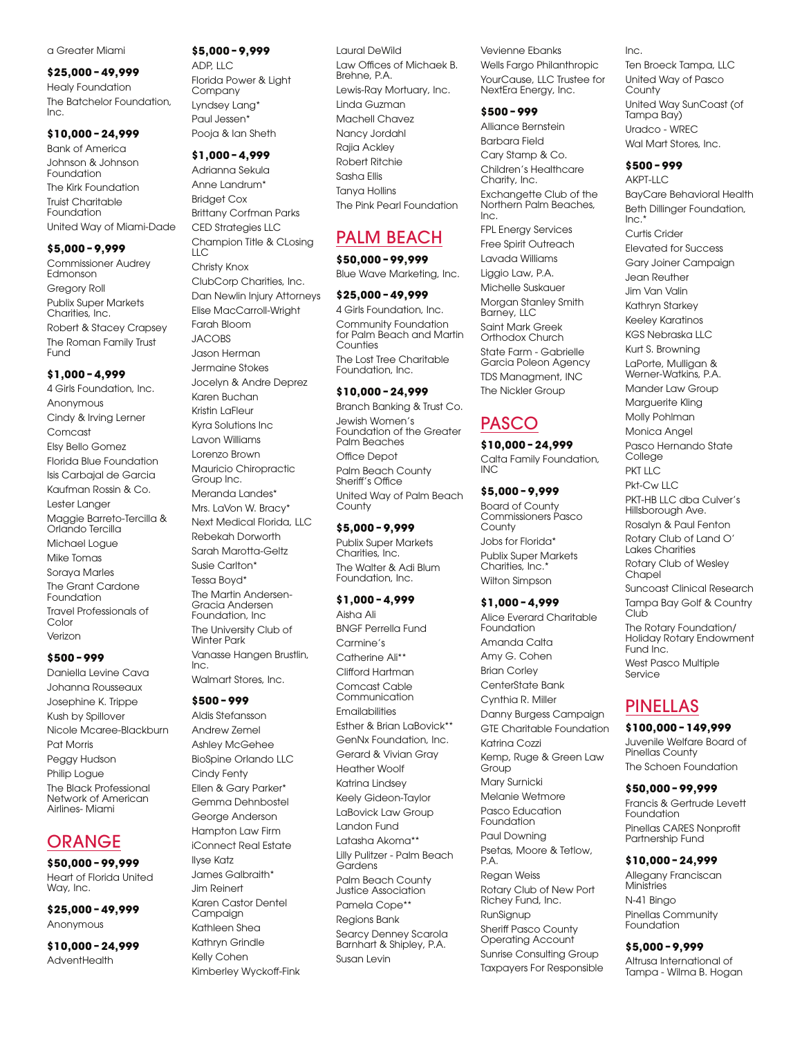#### a Greater Miami

#### **\$25,000 – 49,999**

Healy Foundation The Batchelor Foundation, Inc.

#### **\$10,000 – 24,999**

Bank of America Johnson & Johnson Foundation The Kirk Foundation Truist Charitable Foundation United Way of Miami-Dade

#### **\$5,000 – 9,999**

Commissioner Audrey Edmonson Gregory Roll Publix Super Markets Charities, Inc. Robert & Stacey Crapsey The Roman Family Trust Fund

#### **\$1,000 – 4,999**

4 Girls Foundation, Inc. Anonymous Cindy & Irving Lerner Comcast Elsy Bello Gomez Florida Blue Foundation Isis Carbajal de Garcia Kaufman Rossin & Co. Lester Langer Maggie Barreto-Tercilla & Orlando Tercilla Michael Logue Mike Tomas Soraya Marles The Grant Cardone Foundation Travel Professionals of Color Verizon

#### **\$500 – 999**

Daniella Levine Cava Johanna Rousseaux Josephine K. Trippe Kush by Spillover Nicole Mcaree-Blackburn Pat Morris Peggy Hudson Philip Logue The Black Professional Network of American Airlines- Miami

# **ORANGE**

**\$50,000 – 99,999**  Heart of Florida United Way, Inc.

**\$25,000 – 49,999**  Anonymous

**\$10,000 – 24,999 AdventHealth** 

# **\$5,000 – 9,999**

ADP, LLC Florida Power & Light **Company** Lyndsey Lang\* Paul Jessen\* Pooja & Ian Sheth

#### **\$1,000 – 4,999**

Adrianna Sekula Anne Landrum\* Bridget Cox Brittany Corfman Parks CED Strategies LLC Champion Title & CLosing  $\overline{L}$ Christy Knox ClubCorp Charities, Inc. Dan Newlin Injury Attorneys Elise MacCarroll-Wright Farah Bloom JACOBS Jason Herman Jermaine Stokes Jocelyn & Andre Deprez Karen Buchan Kristin LaFleur Kyra Solutions Inc Lavon Williams Lorenzo Brown Mauricio Chiropractic Group Inc. Meranda Landes\* Mrs. LaVon W. Bracy\* Next Medical Florida, LLC Rebekah Dorworth Sarah Marotta-Geltz Susie Carlton\* Tessa Boyd\* The Martin Andersen-Gracia Andersen Foundation, Inc The University Club of Winter Park Vanasse Hangen Brustlin, Inc. Walmart Stores, Inc.

#### **\$500 – 999**

Aldis Stefansson Andrew Zemel Ashley McGehee BioSpine Orlando LLC Cindy Fenty Ellen & Gary Parker\* Gemma Dehnbostel George Anderson Hampton Law Firm iConnect Real Estate Ilyse Katz James Galbraith\* Jim Reinert Karen Castor Dentel Campaign Kathleen Shea Kathryn Grindle Kelly Cohen Kimberley Wyckoff-Fink Laural DeWild Law Offices of Michaek B. Brehne, P.A. Lewis-Ray Mortuary, Inc. Linda Guzman Machell Chavez Nancy Jordahl Rajia Ackley Robert Ritchie Sasha Ellis Tanya Hollins The Pink Pearl Foundation

# PALM BEACH

**\$50,000 – 99,999**  Blue Wave Marketing, Inc.

# **\$25,000 – 49,999**  4 Girls Foundation, Inc.

Community Foundation for Palm Beach and Martin Counties The Lost Tree Charitable Foundation, Inc.

### **\$10,000 – 24,999**

Branch Banking & Trust Co. Jewish Women's Foundation of the Greater Palm Beaches Office Depot Palm Beach County Sheriff's Office United Way of Palm Beach County

#### **\$5,000 – 9,999**

Publix Super Markets Charities, Inc. The Walter & Adi Blum Foundation, Inc.

### **\$1,000 – 4,999**

Aisha Ali BNGF Perrella Fund Carmine's Catherine Ali\*\* Clifford Hartman Comcast Cable Communication **Emailabilities** Esther & Brian LaBovick\*\* GenNx Foundation, Inc. Gerard & Vivian Gray Heather Woolf Katrina Lindsey Keely Gideon-Taylor LaBovick Law Group Landon Fund Latasha Akoma\*\* Lilly Pulitzer - Palm Beach Gardens Palm Beach County Justice Association Pamela Cope\*\* Regions Bank Searcy Denney Scarola Barnhart & Shipley, P.A. Susan Levin

Vevienne Ebanks Wells Fargo Philanthropic YourCause, LLC Trustee for NextEra Energy, Inc.

#### **\$500 – 999**

Alliance Bernstein Barbara Field Cary Stamp & Co. Children's Healthcare Charity, Inc. Exchangette Club of the Northern Palm Beaches, Inc. FPL Energy Services Free Spirit Outreach Lavada Williams Liggio Law, P.A. Michelle Suskauer Morgan Stanley Smith Barney, LLC Saint Mark Greek Orthodox Church

State Farm - Gabrielle Garcia Poleon Agency TDS Managment, INC The Nickler Group

# PASCO

**\$10,000 – 24,999**  Calta Family Foundation, INC

### **\$5,000 – 9,999**

Board of County Commissioners Pasco **County** Jobs for Florida\* Publix Super Markets Charities, Inc.\* Wilton Simpson

### **\$1,000 – 4,999**

Alice Everard Charitable Foundation Amanda Calta Amy G. Cohen Brian Corley CenterState Bank Cynthia R. Miller Danny Burgess Campaign GTE Charitable Foundation Katrina Cozzi Kemp, Ruge & Green Law Group Mary Surnicki Melanie Wetmore Pasco Education Foundation Paul Downing Psetas, Moore & Tetlow, P.A. Regan Weiss Rotary Club of New Port Richey Fund, Inc. RunSignup

Sheriff Pasco County Operating Account Sunrise Consulting Group Taxpayers For Responsible Ten Broeck Tampa, LLC United Way of Pasco **County** United Way SunCoast (of Tampa Bay) Uradco - WREC Wal Mart Stores, Inc.

# **\$500 – 999**

Inc.

AKPT-LLC BayCare Behavioral Health Beth Dillinger Foundation,  $Inc.$ Curtis Crider Elevated for Success Gary Joiner Campaign Jean Reuther Jim Van Valin Kathryn Starkey Keeley Karatinos KGS Nebraska LLC Kurt S. Browning LaPorte, Mulligan & Werner-Watkins, P.A. Mander Law Group Marguerite Kling Molly Pohlman Monica Angel Pasco Hernando State College **PKT IIC** Pkt-Cw LLC PKT-HB LLC dba Culver's Hillsborough Ave. Rosalyn & Paul Fenton Rotary Club of Land O' Lakes<sup>'</sup>Charities Rotary Club of Wesley Chapel Suncoast Clinical Research Tampa Bay Golf & Country Club The Rotary Foundation/ Holiday Rotary Endowment Fund Inc. West Pasco Multiple Service

# PINELLAS

# **\$100,000 – 149,999**

Juvenile Welfare Board of Pinellas County The Schoen Foundation

#### **\$50,000 – 99,999**

Francis & Gertrude Levett Foundation Pinellas CARES Nonprofit Partnership Fund

#### **\$10,000 – 24,999**

Allegany Franciscan **Ministries** N-41 Bingo Pinellas Community Foundation

#### **\$5,000 – 9,999**

Altrusa International of Tampa - Wilma B. Hogan